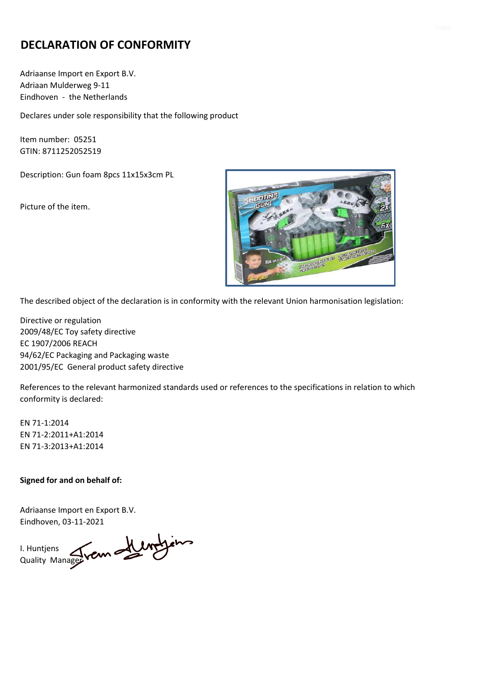# **DECLARATION OF CONFORMITY**

Adriaanse Import en Export B.V. Adriaan Mulderweg 9-11 Eindhoven - the Netherlands

Declares under sole responsibility that the following product

Item number: 05251 GTIN: 8711252052519

Description: Gun foam 8pcs 11x15x3cm PL

Picture of the item.



The described object of the declaration is in conformity with the relevant Union harmonisation legislation:

Directive or regulation 2009/48/EC Toy safety directive EC 1907/2006 REACH 94/62/EC Packaging and Packaging waste 2001/95/EC General product safety directive

References to the relevant harmonized standards used or references to the specifications in relation to which conformity is declared:

EN 71-1:2014 EN 71-2:2011+A1:2014 EN 71-3:2013+A1:2014

#### **Signed for and on behalf of:**

I. Huntjens Quality Manager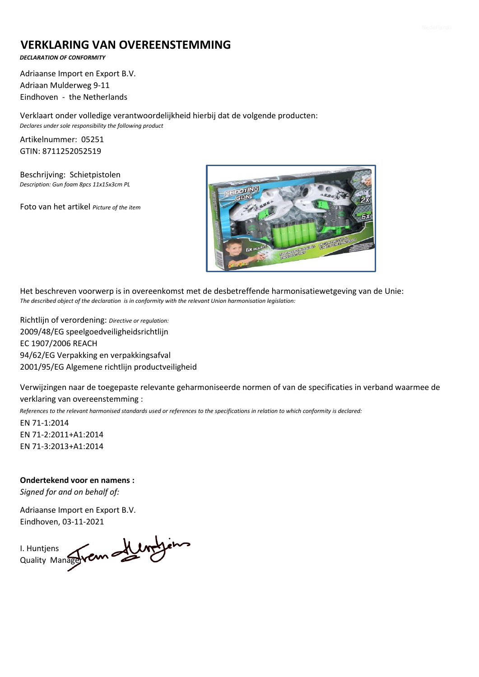### **VERKLARING VAN OVEREENSTEMMING**

*DECLARATION OF CONFORMITY*

Adriaanse Import en Export B.V. Adriaan Mulderweg 9-11 Eindhoven - the Netherlands

Verklaart onder volledige verantwoordelijkheid hierbij dat de volgende producten: *Declares under sole responsibility the following product*

Artikelnummer: 05251 GTIN: 8711252052519

Beschrijving: Schietpistolen *Description: Gun foam 8pcs 11x15x3cm PL* 

Foto van het artikel *Picture of the item*



Het beschreven voorwerp is in overeenkomst met de desbetreffende harmonisatiewetgeving van de Unie: *The described object of the declaration is in conformity with the relevant Union harmonisation legislation:*

Richtlijn of verordening: *Directive or regulation:* 2009/48/EG speelgoedveiligheidsrichtlijn EC 1907/2006 REACH 94/62/EG Verpakking en verpakkingsafval 2001/95/EG Algemene richtlijn productveiligheid

Verwijzingen naar de toegepaste relevante geharmoniseerde normen of van de specificaties in verband waarmee de verklaring van overeenstemming :

*References to the relevant harmonised standards used or references to the specifications in relation to which conformity is declared:*

EN 71-1:2014 EN 71-2:2011+A1:2014 EN 71-3:2013+A1:2014

**Ondertekend voor en namens :** *Signed for and on behalf of:*

I. Huntjens Quality Manager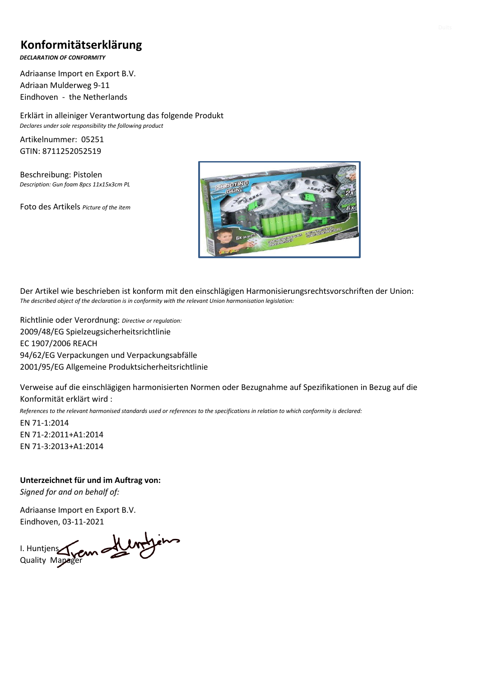## **Konformitätserklärung**

*DECLARATION OF CONFORMITY*

Adriaanse Import en Export B.V. Adriaan Mulderweg 9-11 Eindhoven - the Netherlands

Erklärt in alleiniger Verantwortung das folgende Produkt *Declares under sole responsibility the following product*

Artikelnummer: 05251 GTIN: 8711252052519

Beschreibung: Pistolen *Description: Gun foam 8pcs 11x15x3cm PL* 

Foto des Artikels *Picture of the item*



Der Artikel wie beschrieben ist konform mit den einschlägigen Harmonisierungsrechtsvorschriften der Union: *The described object of the declaration is in conformity with the relevant Union harmonisation legislation:*

Richtlinie oder Verordnung: *Directive or regulation:* 2009/48/EG Spielzeugsicherheitsrichtlinie EC 1907/2006 REACH 94/62/EG Verpackungen und Verpackungsabfälle 2001/95/EG Allgemeine Produktsicherheitsrichtlinie

Verweise auf die einschlägigen harmonisierten Normen oder Bezugnahme auf Spezifikationen in Bezug auf die Konformität erklärt wird :

*References to the relevant harmonised standards used or references to the specifications in relation to which conformity is declared:*

EN 71-1:2014 EN 71-2:2011+A1:2014 EN 71-3:2013+A1:2014

**Unterzeichnet für und im Auftrag von:** *Signed for and on behalf of:*

I. Huntjens Quality Mapager